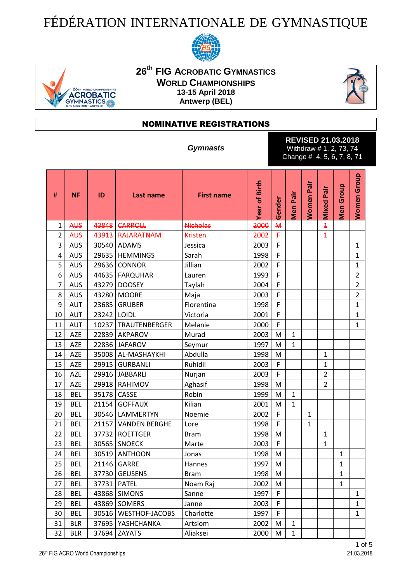## FÉDÉRATION INTERNATIONALE DE GYMNASTIQUE





## **26 th FIG ACROBATIC GYMNASTICS WORLD CHAMPIONSHIPS 13-15 April 2018 Antwerp (BEL)**



## NOMINATIVE REGISTRATIONS

*Gymnasts*

**REVISED 21.03.2018** Withdraw # 1, 2, 73, 74 Change # 4, 5, 6, 7, 8, 71

| #              | <b>NF</b>  | ID    | Last name             | <b>First name</b> | Year of Birth | Gender         | Men Pair     | Pair<br><b>Women</b> | Pair<br>Mixed  | <b>Men Group</b> | <b>Women Group</b> |
|----------------|------------|-------|-----------------------|-------------------|---------------|----------------|--------------|----------------------|----------------|------------------|--------------------|
| 1              | <b>AUS</b> | 43848 | <b>CARROLL</b>        | <b>Nicholas</b>   | 2000          | $\overline{M}$ |              |                      | $\overline{1}$ |                  |                    |
| $\overline{2}$ | <b>AUS</b> |       | 43913 RAJARATNAM      | <b>Kristen</b>    | 2002          | ₽              |              |                      | $\overline{1}$ |                  |                    |
| 3              | <b>AUS</b> | 30540 | ADAMS                 | Jessica           | 2003          | F              |              |                      |                |                  | $\mathbf{1}$       |
| 4              | <b>AUS</b> |       | 29635   HEMMINGS      | Sarah             | 1998          | F              |              |                      |                |                  | 1                  |
| 5              | <b>AUS</b> | 29636 | CONNOR                | Jillian           | 2002          | F              |              |                      |                |                  | $\mathbf{1}$       |
| 6              | <b>AUS</b> |       | 44635   FARQUHAR      | Lauren            | 1993          | F              |              |                      |                |                  | $\overline{2}$     |
| 7              | <b>AUS</b> | 43279 | <b>DOOSEY</b>         | Taylah            | 2004          | F              |              |                      |                |                  | $\overline{2}$     |
| 8              | <b>AUS</b> | 43280 | <b>MOORE</b>          | Maja              | 2003          | F              |              |                      |                |                  | $\overline{2}$     |
| 9              | <b>AUT</b> | 23685 | <b>GRUBER</b>         | Florentina        | 1998          | F              |              |                      |                |                  | $\mathbf{1}$       |
| 10             | AUT        | 23242 | LOIDL                 | Victoria          | 2001          | F              |              |                      |                |                  | $\overline{1}$     |
| 11             | <b>AUT</b> | 10237 | TRAUTENBERGER         | Melanie           | 2000          | F              |              |                      |                |                  | $\mathbf{1}$       |
| 12             | AZE        |       | 22839 AKPAROV         | Murad             | 2003          | M              | $\mathbf{1}$ |                      |                |                  |                    |
| 13             | <b>AZE</b> | 22836 | <b>JAFAROV</b>        | Seymur            | 1997          | M              | $\mathbf{1}$ |                      |                |                  |                    |
| 14             | <b>AZE</b> | 35008 | AL-MASHAYKHI          | Abdulla           | 1998          | M              |              |                      | $\mathbf{1}$   |                  |                    |
| 15             | <b>AZE</b> | 29915 | <b>GURBANLI</b>       | Ruhidil           | 2003          | F              |              |                      | $\mathbf{1}$   |                  |                    |
| 16             | <b>AZE</b> |       | 29916 JABBARLI        | Nurjan            | 2003          | F              |              |                      | $\overline{2}$ |                  |                    |
| 17             | <b>AZE</b> |       | 29918 RAHIMOV         | Aghasif           | 1998          | M              |              |                      | $\overline{2}$ |                  |                    |
| 18             | <b>BEL</b> | 35178 | CASSE                 | Robin             | 1999          | M              | $\mathbf{1}$ |                      |                |                  |                    |
| 19             | <b>BEL</b> | 21154 | <b>GOFFAUX</b>        | Kilian            | 2001          | M              | $\mathbf{1}$ |                      |                |                  |                    |
| 20             | <b>BEL</b> |       | 30546   LAMMERTYN     | Noemie            | 2002          | F              |              | $\mathbf{1}$         |                |                  |                    |
| 21             | <b>BEL</b> | 21157 | <b>VANDEN BERGHE</b>  | Lore              | 1998          | F              |              | $\mathbf{1}$         |                |                  |                    |
| 22             | <b>BEL</b> | 37732 | <b>ROETTGER</b>       | <b>Bram</b>       | 1998          | M              |              |                      | $\mathbf{1}$   |                  |                    |
| 23             | <b>BEL</b> | 30565 | <b>SNOECK</b>         | Marte             | 2003          | F              |              |                      | $\mathbf{1}$   |                  |                    |
| 24             | <b>BEL</b> | 30519 | <b>ANTHOON</b>        | Jonas             | 1998          | M              |              |                      |                | $\mathbf 1$      |                    |
| 25             | <b>BEL</b> | 21146 | <b>GARRE</b>          | Hannes            | 1997          | M              |              |                      |                | $\mathbf 1$      |                    |
| 26             | <b>BEL</b> | 37730 | <b>GEUSENS</b>        | <b>Bram</b>       | 1998          | M              |              |                      |                | $\mathbf 1$      |                    |
| 27             | <b>BEL</b> |       | 37731 PATEL           | Noam Raj          | 2002          | M              |              |                      |                | $\mathbf{1}$     |                    |
| 28             | <b>BEL</b> | 43868 | <b>SIMONS</b>         | Sanne             | 1997          | F              |              |                      |                |                  | $\mathbf{1}$       |
| 29             | <b>BEL</b> | 43869 | SOMERS                | Janne             | 2003          | F              |              |                      |                |                  | $\mathbf{1}$       |
| 30             | BEL        | 30516 | <b>WESTHOF-JACOBS</b> | Charlotte         | 1997          | F              |              |                      |                |                  | $\mathbf{1}$       |
| 31             | <b>BLR</b> | 37695 | YASHCHANKA            | Artsiom           | 2002          | М              | 1            |                      |                |                  |                    |
| 32             | <b>BLR</b> | 37694 | ZAYATS                | Aliaksei          | 2000          | M              | $\mathbf{1}$ |                      |                |                  |                    |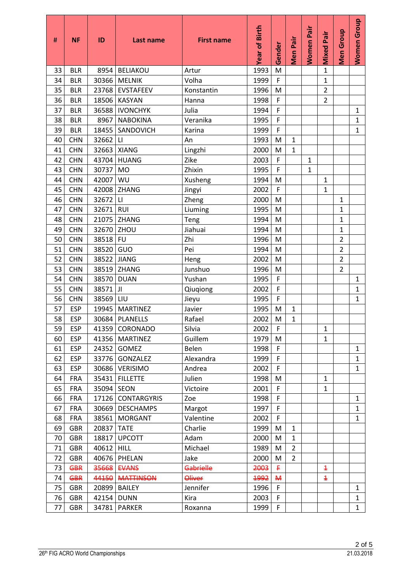| #        | <b>NF</b>                | ID             | Last name                          | <b>First name</b>   | Year of Birth | Gender       | Men Pair       | <b>Women Pair</b> | <b>Mixed Pair</b> | Men Group      | Women Group                  |
|----------|--------------------------|----------------|------------------------------------|---------------------|---------------|--------------|----------------|-------------------|-------------------|----------------|------------------------------|
| 33       | <b>BLR</b>               | 8954           | <b>BELIAKOU</b>                    | Artur               | 1993          | M            |                |                   | $\mathbf{1}$      |                |                              |
| 34       | <b>BLR</b>               | 30366          | <b>MELNIK</b>                      | Volha               | 1999          | F            |                |                   | $\mathbf{1}$      |                |                              |
| 35       | <b>BLR</b>               | 23768          | <b>EVSTAFEEV</b>                   | Konstantin          | 1996          | M            |                |                   | $\overline{2}$    |                |                              |
| 36       | <b>BLR</b>               | 18506          | <b>KASYAN</b>                      | Hanna               | 1998          | F            |                |                   | $\overline{2}$    |                |                              |
| 37       | <b>BLR</b>               | 36588          | <b>IVONCHYK</b>                    | Julia               | 1994          | F            |                |                   |                   |                | $\mathbf{1}$                 |
| 38       | <b>BLR</b>               | 8967           | <b>NABOKINA</b>                    | Veranika            | 1995          | F            |                |                   |                   |                | $\mathbf{1}$                 |
| 39       | <b>BLR</b>               | 18455          | SANDOVICH                          | Karina              | 1999          | F            |                |                   |                   |                | $\mathbf{1}$                 |
| 40       | <b>CHN</b>               | 32662          | $\mathsf{L}\mathsf{I}$             | An                  | 1993          | M            | $\mathbf{1}$   |                   |                   |                |                              |
| 41       | <b>CHN</b>               | 32663          | <b>XIANG</b>                       | Lingzhi             | 2000          | M            | $\mathbf{1}$   |                   |                   |                |                              |
| 42       | <b>CHN</b>               | 43704          | <b>HUANG</b>                       | Zike                | 2003          | F            |                | $\mathbf{1}$      |                   |                |                              |
| 43       | <b>CHN</b>               | 30737          | <b>MO</b>                          | Zhixin              | 1995          | F            |                | $\mathbf{1}$      |                   |                |                              |
| 44       | <b>CHN</b>               | 42007          | WU                                 | Xusheng             | 1994          | M            |                |                   | $\mathbf{1}$      |                |                              |
| 45       | <b>CHN</b>               | 42008          | <b>ZHANG</b>                       | Jingyi              | 2002          | F            |                |                   | $\mathbf{1}$      |                |                              |
| 46       | <b>CHN</b>               | 32672          | $\mathsf{L}\mathsf{I}$             | Zheng               | 2000          | M            |                |                   |                   | $\mathbf{1}$   |                              |
| 47       | <b>CHN</b>               | 32671          | <b>RUI</b>                         | Liuming             | 1995          | M            |                |                   |                   | $\mathbf{1}$   |                              |
| 48       | <b>CHN</b>               | 21075          | ZHANG                              | Teng                | 1994          | M            |                |                   |                   | $\mathbf{1}$   |                              |
| 49       | <b>CHN</b>               | 32670          | ZHOU                               | Jiahuai             | 1994          | M            |                |                   |                   | $\mathbf{1}$   |                              |
| 50       | <b>CHN</b>               | 38518          | <b>FU</b>                          | Zhi                 | 1996          | M            |                |                   |                   | $\overline{2}$ |                              |
| 51       | <b>CHN</b>               | 38520          | GUO                                | Pei                 | 1994          | M            |                |                   |                   | $\overline{2}$ |                              |
| 52       | <b>CHN</b>               | 38522          | <b>JIANG</b>                       | Heng                | 2002          | M            |                |                   |                   | $\overline{2}$ |                              |
| 53       | <b>CHN</b>               | 38519          | ZHANG                              | Junshuo             | 1996          | M            |                |                   |                   | $\overline{2}$ |                              |
| 54       | <b>CHN</b>               | 38570          | <b>DUAN</b>                        | Yushan              | 1995          | F            |                |                   |                   |                | $\mathbf{1}$                 |
| 55       | <b>CHN</b>               | 38571          | JI                                 | Qiuqiong            | 2002          | $\mathsf F$  |                |                   |                   |                | $\mathbf{1}$                 |
| 56       | <b>CHN</b>               | 38569          | LIU                                | Jieyu               | 1995          | F            |                |                   |                   |                | 1                            |
| 57       | <b>ESP</b>               | 19945          | <b>MARTINEZ</b>                    | Javier              | 1995          | M            | $\mathbf{1}$   |                   |                   |                |                              |
| 58       | <b>ESP</b>               | 30684          | <b>PLANELLS</b>                    | Rafael              | 2002          | M            | $\mathbf{1}$   |                   |                   |                |                              |
| 59       | <b>ESP</b>               |                | 41359 CORONADO                     | Silvia              | 2002          | F            |                |                   | $\mathbf 1$       |                |                              |
| 60       | <b>ESP</b>               |                | 41356 MARTINEZ                     | Guillem             | 1979          | M            |                |                   | $\mathbf{1}$      |                |                              |
| 61       | <b>ESP</b>               | 24352          | <b>GOMEZ</b>                       | Belen               | 1998          | F            |                |                   |                   |                | $\mathbf{1}$                 |
| 62       | <b>ESP</b>               | 33776          | GONZALEZ                           | Alexandra           | 1999          | F            |                |                   |                   |                | $\mathbf{1}$                 |
| 63       | <b>ESP</b>               | 30686          | <b>VERISIMO</b>                    | Andrea              | 2002          | F            |                |                   |                   |                | $\mathbf{1}$                 |
| 64       | <b>FRA</b>               | 35431          | <b>FILLETTE</b>                    | Julien              | 1998          | M<br>F       |                |                   | $\mathbf{1}$      |                |                              |
| 65       | <b>FRA</b><br><b>FRA</b> | 35094          | <b>SEON</b>                        | Victoire            | 2001          |              |                |                   | $\mathbf{1}$      |                |                              |
| 66       |                          | 17126          | <b>CONTARGYRIS</b>                 | Zoe                 | 1998          | F<br>F       |                |                   |                   |                | $\mathbf{1}$                 |
| 67<br>68 | <b>FRA</b><br><b>FRA</b> | 30669          | <b>DESCHAMPS</b><br><b>MORGANT</b> | Margot<br>Valentine | 1997          | F            |                |                   |                   |                | $\mathbf{1}$<br>$\mathbf{1}$ |
| 69       | <b>GBR</b>               | 38561<br>20837 | <b>TATE</b>                        | Charlie             | 2002<br>1999  | M            | $\mathbf{1}$   |                   |                   |                |                              |
| 70       | <b>GBR</b>               | 18817          | <b>UPCOTT</b>                      | Adam                | 2000          | M            | $\mathbf{1}$   |                   |                   |                |                              |
| 71       | <b>GBR</b>               | 40612          | <b>HILL</b>                        | Michael             | 1989          | M            | $\overline{2}$ |                   |                   |                |                              |
| 72       | <b>GBR</b>               | 40676          | PHELAN                             | Jake                | 2000          | M            | $\overline{2}$ |                   |                   |                |                              |
| 73       | <b>GBR</b>               | 35668          | <b>EVANS</b>                       | <b>Gabrielle</b>    | 2003          | £            |                |                   | $\overline{1}$    |                |                              |
| 74       | <b>GBR</b>               | 44150          | <b>MATTINSON</b>                   | Oliver              | 1992          | $\mathsf{M}$ |                |                   | $\overline{1}$    |                |                              |
| 75       | <b>GBR</b>               | 20899          | <b>BAILEY</b>                      | Jennifer            | 1996          | F            |                |                   |                   |                | $\mathbf{1}$                 |
| 76       | <b>GBR</b>               | 42154          | <b>DUNN</b>                        | Kira                | 2003          | F            |                |                   |                   |                | $\mathbf{1}$                 |
| 77       | <b>GBR</b>               | 34781          | <b>PARKER</b>                      | Roxanna             | 1999          | F            |                |                   |                   |                | $\mathbf{1}$                 |
|          |                          |                |                                    |                     |               |              |                |                   |                   |                |                              |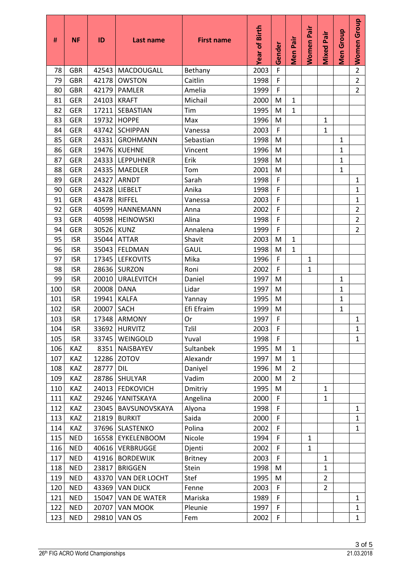| #   | <b>NF</b>  | ID    | Last name             | <b>First name</b> | Year of Birth | Gender | Men Pair       | <b>Women Pair</b> | <b>Mixed Pair</b> | Group<br>Men | Women Group    |
|-----|------------|-------|-----------------------|-------------------|---------------|--------|----------------|-------------------|-------------------|--------------|----------------|
| 78  | <b>GBR</b> | 42543 | MACDOUGALL            | Bethany           | 2003          | F      |                |                   |                   |              | $\overline{2}$ |
| 79  | <b>GBR</b> | 42178 | <b>OWSTON</b>         | Caitlin           | 1998          | F      |                |                   |                   |              | $\overline{2}$ |
| 80  | <b>GBR</b> | 42179 | PAMLER                | Amelia            | 1999          | F      |                |                   |                   |              | $\overline{2}$ |
| 81  | <b>GER</b> | 24103 | <b>KRAFT</b>          | Michail           | 2000          | M      | $\mathbf{1}$   |                   |                   |              |                |
| 82  | <b>GER</b> | 17211 | <b>SEBASTIAN</b>      | Tim               | 1995          | м      | $\mathbf{1}$   |                   |                   |              |                |
| 83  | <b>GER</b> | 19732 | <b>HOPPE</b>          | Max               | 1996          | M      |                |                   | $\mathbf{1}$      |              |                |
| 84  | <b>GER</b> | 43742 | <b>SCHIPPAN</b>       | Vanessa           | 2003          | F      |                |                   | $\mathbf{1}$      |              |                |
| 85  | <b>GER</b> | 24331 | <b>GROHMANN</b>       | Sebastian         | 1998          | M      |                |                   |                   | $\mathbf{1}$ |                |
| 86  | <b>GER</b> | 19476 | <b>KUEHNE</b>         | Vincent           | 1996          | м      |                |                   |                   | $\mathbf{1}$ |                |
| 87  | <b>GER</b> |       | 24333   LEPPUHNER     | Erik              | 1998          | M      |                |                   |                   | $\mathbf{1}$ |                |
| 88  | <b>GER</b> |       | 24335   MAEDLER       | Tom               | 2001          | M      |                |                   |                   | $\mathbf{1}$ |                |
| 89  | <b>GER</b> | 24327 | ARNDT                 | Sarah             | 1998          | F      |                |                   |                   |              | $\mathbf{1}$   |
| 90  | <b>GER</b> | 24328 | <b>LIEBELT</b>        | Anika             | 1998          | F      |                |                   |                   |              | $\mathbf{1}$   |
| 91  | <b>GER</b> | 43478 | <b>RIFFEL</b>         | Vanessa           | 2003          | F      |                |                   |                   |              | $\mathbf{1}$   |
| 92  | <b>GER</b> | 40599 | <b>HANNEMANN</b>      | Anna              | 2002          | F      |                |                   |                   |              | $\overline{2}$ |
| 93  | <b>GER</b> | 40598 | <b>HEINOWSKI</b>      | Alina             | 1998          | F      |                |                   |                   |              | $\overline{2}$ |
| 94  | <b>GER</b> | 30526 | <b>KUNZ</b>           | Annalena          | 1999          | F      |                |                   |                   |              | $\overline{2}$ |
| 95  | <b>ISR</b> | 35044 | <b>ATTAR</b>          | Shavit            | 2003          | M      | $\mathbf{1}$   |                   |                   |              |                |
| 96  | <b>ISR</b> | 35043 | FELDMAN               | <b>GAUL</b>       | 1998          | м      | $\mathbf{1}$   |                   |                   |              |                |
| 97  | <b>ISR</b> | 17345 | <b>LEFKOVITS</b>      | Mika              | 1996          | F      |                | $\mathbf{1}$      |                   |              |                |
| 98  | <b>ISR</b> |       | 28636 SURZON          | Roni              | 2002          | F      |                | 1                 |                   |              |                |
| 99  | <b>ISR</b> | 20010 | <b>URALEVITCH</b>     | Daniel            | 1997          | M      |                |                   |                   | $\mathbf{1}$ |                |
| 100 | <b>ISR</b> | 20008 | <b>DANA</b>           | Lidar             | 1997          | M      |                |                   |                   | $\mathbf{1}$ |                |
| 101 | <b>ISR</b> | 19941 | <b>KALFA</b>          | Yannay            | 1995          | м      |                |                   |                   | $\mathbf{1}$ |                |
| 102 | <b>ISR</b> | 20007 | <b>SACH</b>           | Efi Efraim        | 1999          | M      |                |                   |                   | 1            |                |
| 103 | <b>ISR</b> | 17348 | <b>ARMONY</b>         | Or                | 1997          | F      |                |                   |                   |              | $\mathbf{1}$   |
| 104 | <b>ISR</b> |       | 33692 HURVITZ         | Tzlil             | 2003          | F      |                |                   |                   |              | $\mathbf{1}$   |
| 105 | <b>ISR</b> |       | 33745   WEINGOLD      | Yuval             | 1998          | F      |                |                   |                   |              | $\mathbf{1}$   |
| 106 | KAZ        |       | 8351 NAISBAYEV        | Sultanbek         | 1995          | M      | $\mathbf{1}$   |                   |                   |              |                |
| 107 | KAZ        |       | 12286 ZOTOV           | Alexandr          | 1997          | M      | $\mathbf{1}$   |                   |                   |              |                |
| 108 | KAZ        | 28777 | <b>DIL</b>            | Daniyel           | 1996          | M      | $\overline{2}$ |                   |                   |              |                |
| 109 | KAZ        |       | 28786 SHULYAR         | Vadim             | 2000          | M      | $\overline{2}$ |                   |                   |              |                |
| 110 | <b>KAZ</b> |       | 24013   FEDKOVICH     | Dmitriy           | 1995          | M      |                |                   | $\mathbf{1}$      |              |                |
| 111 | KAZ        |       | 29246 YANITSKAYA      | Angelina          | 2000          | F      |                |                   | $\mathbf{1}$      |              |                |
| 112 | KAZ        |       | 23045   BAVSUNOVSKAYA | Alyona            | 1998          | F      |                |                   |                   |              | $\mathbf{1}$   |
| 113 | KAZ        |       | 21819 BURKIT          | Saida             | 2000          | F      |                |                   |                   |              | $\mathbf{1}$   |
| 114 | KAZ        |       | 37696   SLASTENKO     | Polina            | 2002          | F      |                |                   |                   |              | $\mathbf{1}$   |
| 115 | <b>NED</b> |       | 16558   EYKELENBOOM   | Nicole            | 1994          | F      |                | $\mathbf{1}$      |                   |              |                |
| 116 | <b>NED</b> |       | 40616 VERBRUGGE       | Djenti            | 2002          | F      |                | $\mathbf 1$       |                   |              |                |
| 117 | <b>NED</b> |       | 41916   BORDEWIJK     | <b>Britney</b>    | 2003          | F      |                |                   | $\mathbf{1}$      |              |                |
| 118 | <b>NED</b> | 23817 | <b>BRIGGEN</b>        | Stein             | 1998          | M      |                |                   | $\mathbf{1}$      |              |                |
| 119 | <b>NED</b> | 43370 | VAN DER LOCHT         | Stef              | 1995          | M      |                |                   | $\overline{2}$    |              |                |
| 120 | <b>NED</b> |       | 43369 VAN DIJCK       | Fenne             | 2003          | F      |                |                   | $\overline{2}$    |              |                |
| 121 | <b>NED</b> | 15047 | <b>VAN DE WATER</b>   | Mariska           | 1989          | F      |                |                   |                   |              | $\mathbf{1}$   |
| 122 | <b>NED</b> | 20707 | <b>VAN MOOK</b>       | Pleunie           | 1997          | F      |                |                   |                   |              | $\mathbf{1}$   |
| 123 | <b>NED</b> |       | 29810 VAN OS          | Fem               | 2002          | F      |                |                   |                   |              | $\mathbf{1}$   |
|     |            |       |                       |                   |               |        |                |                   |                   |              |                |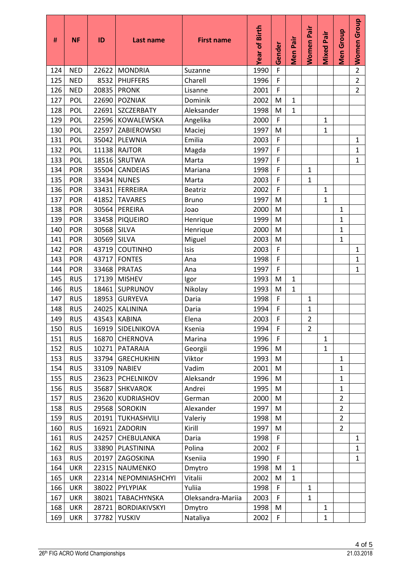| #   | <b>NF</b>  | ID    | Last name           | <b>First name</b> | Year of Birth | Gender | Men Pair     | <b>Women Pair</b> | <b>Mixed Pair</b> | Men Group      | <b>Women Group</b> |
|-----|------------|-------|---------------------|-------------------|---------------|--------|--------------|-------------------|-------------------|----------------|--------------------|
| 124 | <b>NED</b> | 22622 | <b>MONDRIA</b>      | Suzanne           | 1990          | F      |              |                   |                   |                | $\overline{2}$     |
| 125 | <b>NED</b> | 8532  | <b>PHIJFFERS</b>    | Charell           | 1996          | F      |              |                   |                   |                | $\overline{2}$     |
| 126 | <b>NED</b> | 20835 | <b>PRONK</b>        | Lisanne           | 2001          | F      |              |                   |                   |                | $\overline{2}$     |
| 127 | <b>POL</b> | 22690 | <b>POZNIAK</b>      | Dominik           | 2002          | M      | $\mathbf{1}$ |                   |                   |                |                    |
| 128 | POL        | 22691 | SZCZERBATY          | Aleksander        | 1998          | M      | $\mathbf{1}$ |                   |                   |                |                    |
| 129 | POL        | 22596 | KOWALEWSKA          | Angelika          | 2000          | F      |              |                   | $\mathbf{1}$      |                |                    |
| 130 | POL        | 22597 | ZABIEROWSKI         | Maciej            | 1997          | M      |              |                   | $\mathbf{1}$      |                |                    |
| 131 | POL        | 35042 | <b>PLEWNIA</b>      | Emilia            | 2003          | F      |              |                   |                   |                | $\mathbf{1}$       |
| 132 | POL        | 11138 | <b>RAJTOR</b>       | Magda             | 1997          | F      |              |                   |                   |                | $\mathbf{1}$       |
| 133 | POL        | 18516 | SRUTWA              | Marta             | 1997          | F      |              |                   |                   |                | $\mathbf{1}$       |
| 134 | <b>POR</b> | 35504 | CANDEIAS            | Mariana           | 1998          | F      |              | $\mathbf{1}$      |                   |                |                    |
| 135 | POR        | 33434 | <b>NUNES</b>        | Marta             | 2003          | F      |              | $\mathbf{1}$      |                   |                |                    |
| 136 | POR        | 33431 | <b>FERREIRA</b>     | <b>Beatriz</b>    | 2002          | F      |              |                   | $\mathbf{1}$      |                |                    |
| 137 | <b>POR</b> | 41852 | <b>TAVARES</b>      | <b>Bruno</b>      | 1997          | M      |              |                   | $\mathbf{1}$      |                |                    |
| 138 | <b>POR</b> | 30564 | PEREIRA             | Joao              | 2000          | M      |              |                   |                   | $\mathbf{1}$   |                    |
| 139 | <b>POR</b> | 33458 | <b>PIQUEIRO</b>     | Henrique          | 1999          | M      |              |                   |                   | $\mathbf{1}$   |                    |
| 140 | <b>POR</b> | 30568 | <b>SILVA</b>        | Henrique          | 2000          | M      |              |                   |                   | $\mathbf{1}$   |                    |
| 141 | <b>POR</b> | 30569 | SILVA               | Miguel            | 2003          | M      |              |                   |                   | $\mathbf{1}$   |                    |
| 142 | <b>POR</b> | 43719 | <b>COUTINHO</b>     | Isis              | 2003          | F      |              |                   |                   |                | $\mathbf{1}$       |
| 143 | <b>POR</b> | 43717 | <b>FONTES</b>       | Ana               | 1998          | F      |              |                   |                   |                | $\mathbf{1}$       |
| 144 | <b>POR</b> | 33468 | <b>PRATAS</b>       | Ana               | 1997          | F      |              |                   |                   |                | 1                  |
| 145 | <b>RUS</b> | 17139 | <b>MISHEV</b>       | Igor              | 1993          | M      | $\mathbf{1}$ |                   |                   |                |                    |
| 146 | <b>RUS</b> | 18461 | SUPRUNOV            | Nikolay           | 1993          | M      | $\mathbf{1}$ |                   |                   |                |                    |
| 147 | <b>RUS</b> | 18953 | <b>GURYEVA</b>      | Daria             | 1998          | F      |              | $\mathbf{1}$      |                   |                |                    |
| 148 | <b>RUS</b> | 24025 | <b>KALININA</b>     | Daria             | 1994          | F      |              | 1                 |                   |                |                    |
| 149 | <b>RUS</b> | 43543 | <b>KABINA</b>       | Elena             | 2003          | F      |              | $\overline{2}$    |                   |                |                    |
| 150 | <b>RUS</b> |       | 16919   SIDELNIKOVA | Ksenia            | 1994          | F      |              | $\overline{2}$    |                   |                |                    |
| 151 | <b>RUS</b> | 16870 | CHERNOVA            | Marina            | 1996          | F      |              |                   | $\mathbf{1}$      |                |                    |
| 152 | <b>RUS</b> | 10271 | PATARAIA            | Georgii           | 1996          | M      |              |                   | $\mathbf{1}$      |                |                    |
| 153 | <b>RUS</b> | 33794 | <b>GRECHUKHIN</b>   | Viktor            | 1993          | M      |              |                   |                   | $\mathbf{1}$   |                    |
| 154 | <b>RUS</b> | 33109 | <b>NABIEV</b>       | Vadim             | 2001          | M      |              |                   |                   | $\mathbf{1}$   |                    |
| 155 | <b>RUS</b> | 23623 | PCHELNIKOV          | Aleksandr         | 1996          | M      |              |                   |                   | $\mathbf{1}$   |                    |
| 156 | <b>RUS</b> | 35687 | <b>SHKVAROK</b>     | Andrei            | 1995          | M      |              |                   |                   | $\mathbf{1}$   |                    |
| 157 | <b>RUS</b> | 23620 | KUDRIASHOV          | German            | 2000          | M      |              |                   |                   | $\overline{2}$ |                    |
| 158 | <b>RUS</b> | 29568 | <b>SOROKIN</b>      | Alexander         | 1997          | M      |              |                   |                   | $\overline{2}$ |                    |
| 159 | <b>RUS</b> | 20191 | TUKHASHVILI         | Valeriy           | 1998          | M      |              |                   |                   | $\overline{2}$ |                    |
| 160 | <b>RUS</b> | 16921 | ZADORIN             | Kirill            | 1997          | M      |              |                   |                   | $\overline{2}$ |                    |
| 161 | <b>RUS</b> | 24257 | CHEBULANKA          | Daria             | 1998          | F      |              |                   |                   |                | $\mathbf{1}$       |
| 162 | <b>RUS</b> | 33890 | PLASTININA          | Polina            | 2002          | F      |              |                   |                   |                | $\mathbf{1}$       |
| 163 | <b>RUS</b> | 20197 | ZAGOSKINA           | Kseniia           | 1990          | F      |              |                   |                   |                | $\mathbf{1}$       |
| 164 | <b>UKR</b> | 22315 | <b>NAUMENKO</b>     | Dmytro            | 1998          | M      | $\mathbf{1}$ |                   |                   |                |                    |
| 165 | <b>UKR</b> | 22314 | NEPOMNIASHCHYI      | Vitalii           | 2002          | M      | $\mathbf{1}$ |                   |                   |                |                    |
| 166 | <b>UKR</b> | 38022 | PYLYPIAK            | Yuliia            | 1998          | F      |              | $\mathbf{1}$      |                   |                |                    |
| 167 | <b>UKR</b> | 38021 | TABACHYNSKA         | Oleksandra-Mariia | 2003          | F      |              | $\mathbf{1}$      |                   |                |                    |
| 168 | <b>UKR</b> | 28721 | BORDIAKIVSKYI       | Dmytro            | 1998          | M      |              |                   | $\mathbf{1}$      |                |                    |
| 169 | <b>UKR</b> | 37782 | <b>YUSKIV</b>       | Nataliya          | 2002          | F      |              |                   | $\mathbf{1}$      |                |                    |